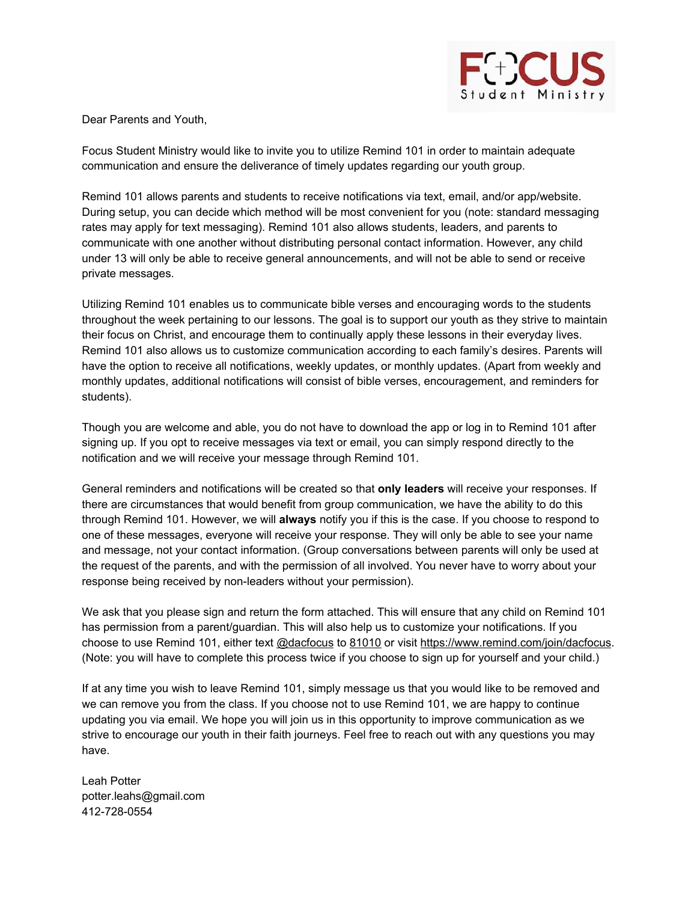

Dear Parents and Youth,

Focus Student Ministry would like to invite you to utilize Remind 101 in order to maintain adequate communication and ensure the deliverance of timely updates regarding our youth group.

Remind 101 allows parents and students to receive notifications via text, email, and/or app/website. During setup, you can decide which method will be most convenient for you (note: standard messaging rates may apply for text messaging). Remind 101 also allows students, leaders, and parents to communicate with one another without distributing personal contact information. However, any child under 13 will only be able to receive general announcements, and will not be able to send or receive private messages.

Utilizing Remind 101 enables us to communicate bible verses and encouraging words to the students throughout the week pertaining to our lessons. The goal is to support our youth as they strive to maintain their focus on Christ, and encourage them to continually apply these lessons in their everyday lives. Remind 101 also allows us to customize communication according to each family's desires. Parents will have the option to receive all notifications, weekly updates, or monthly updates. (Apart from weekly and monthly updates, additional notifications will consist of bible verses, encouragement, and reminders for students).

Though you are welcome and able, you do not have to download the app or log in to Remind 101 after signing up. If you opt to receive messages via text or email, you can simply respond directly to the notification and we will receive your message through Remind 101.

General reminders and notifications will be created so that **only leaders** will receive your responses. If there are circumstances that would benefit from group communication, we have the ability to do this through Remind 101. However, we will **always** notify you if this is the case. If you choose to respond to one of these messages, everyone will receive your response. They will only be able to see your name and message, not your contact information. (Group conversations between parents will only be used at the request of the parents, and with the permission of all involved. You never have to worry about your response being received by non-leaders without your permission).

We ask that you please sign and return the form attached. This will ensure that any child on Remind 101 has permission from a parent/guardian. This will also help us to customize your notifications. If you choose to use Remind 101, either text @dacfocus to 81010 or visit https://www.remind.com/join/dacfocus. (Note: you will have to complete this process twice if you choose to sign up for yourself and your child.)

If at any time you wish to leave Remind 101, simply message us that you would like to be removed and we can remove you from the class. If you choose not to use Remind 101, we are happy to continue updating you via email. We hope you will join us in this opportunity to improve communication as we strive to encourage our youth in their faith journeys. Feel free to reach out with any questions you may have.

Leah Potter potter.leahs@gmail.com 412-728-0554